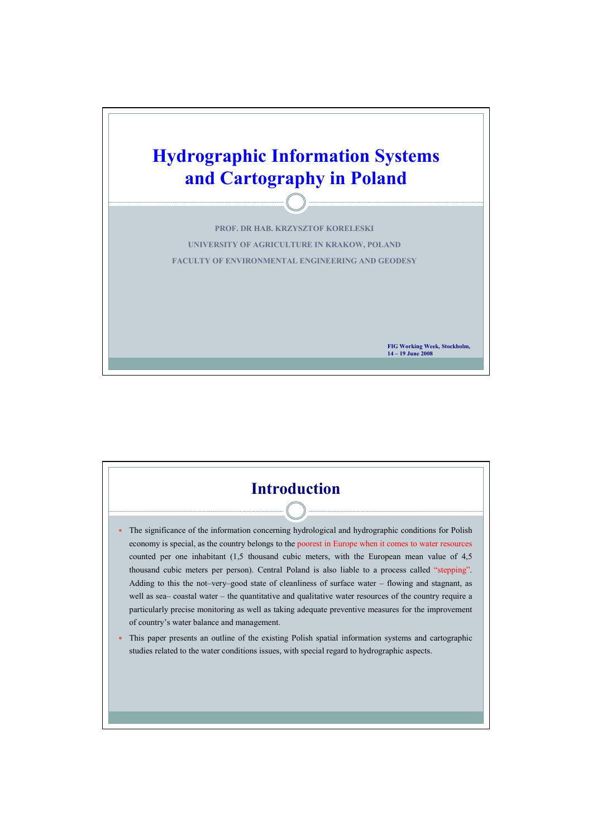

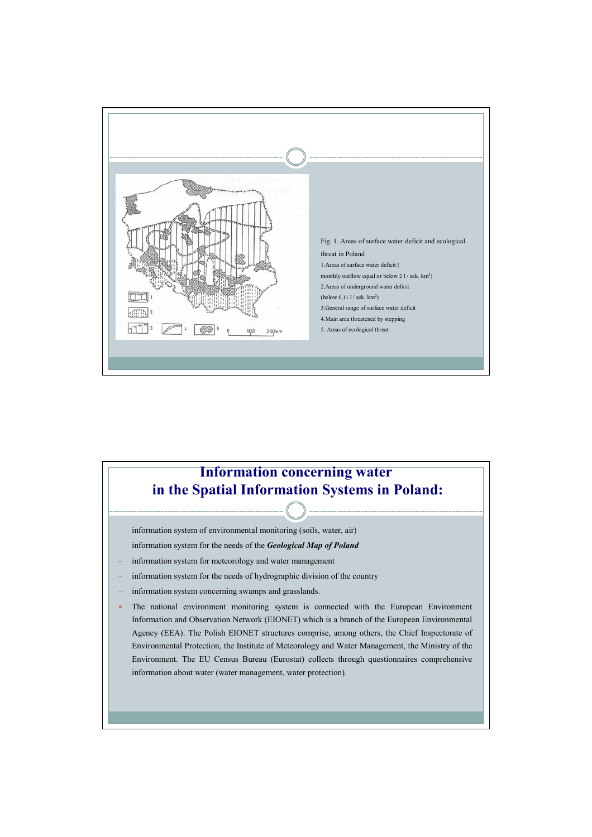

## **Information concerning water in the Spatial Information Systems in Poland:**

- information system of environmental monitoring (soils, water, air)
- − information system for the needs of the *Geological Map of Poland*
- information system for meteorology and water management
- information system for the needs of hydrographic division of the country
- information system concerning swamps and grasslands.
- The national environment monitoring system is connected with the European Environment Information and Observation Network (EIONET) which is a branch of the European Environmental Agency (EEA). The Polish EIONET structures comprise, among others, the Chief Inspectorate of Environmental Protection, the Institute of Meteorology and Water Management, the Ministry of the Environment. The EU Census Bureau (Eurostat) collects through questionnaires comprehensive information about water (water management, water protection).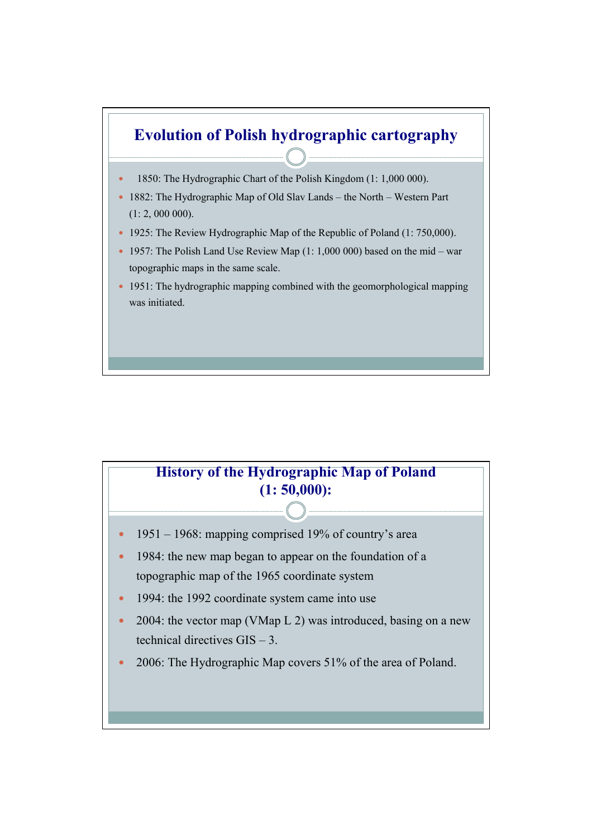

## **History of the Hydrographic Map of Poland (1: 50,000):**

- $1951 1968$ : mapping comprised 19% of country's area
- 1984: the new map began to appear on the foundation of a topographic map of the 1965 coordinate system
- 1994: the 1992 coordinate system came into use
- 2004: the vector map (VMap  $L$  2) was introduced, basing on a new technical directives GIS – 3.
- 2006: The Hydrographic Map covers 51% of the area of Poland.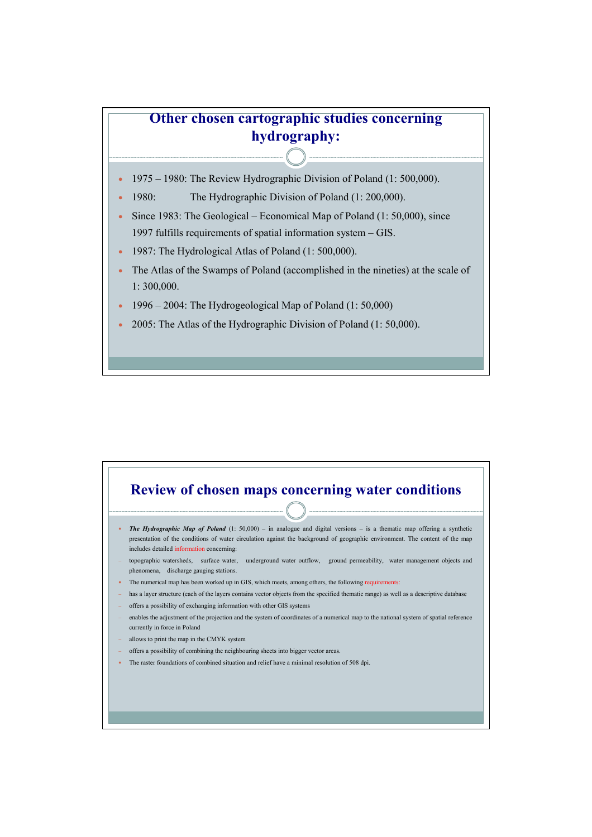## **Other chosen cartographic studies concerning hydrography:**

- 1975 1980: The Review Hydrographic Division of Poland (1: 500,000).
- 1980: The Hydrographic Division of Poland (1: 200,000).
- Since 1983: The Geological Economical Map of Poland (1: 50,000), since 1997 fulfills requirements of spatial information system – GIS.
- 1987: The Hydrological Atlas of Poland (1: 500,000).
- The Atlas of the Swamps of Poland (accomplished in the nineties) at the scale of 1: 300,000.
- 1996 2004: The Hydrogeological Map of Poland  $(1: 50,000)$
- 2005: The Atlas of the Hydrographic Division of Poland (1: 50,000).

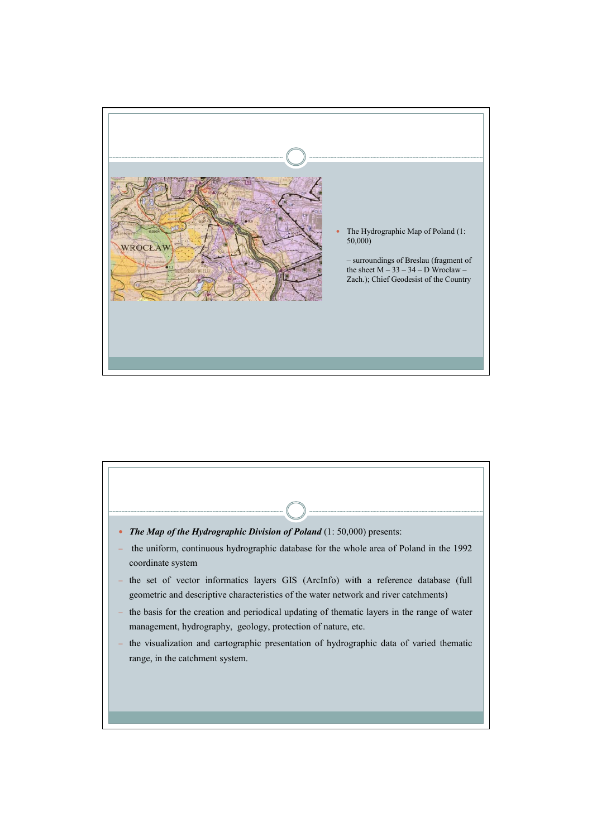

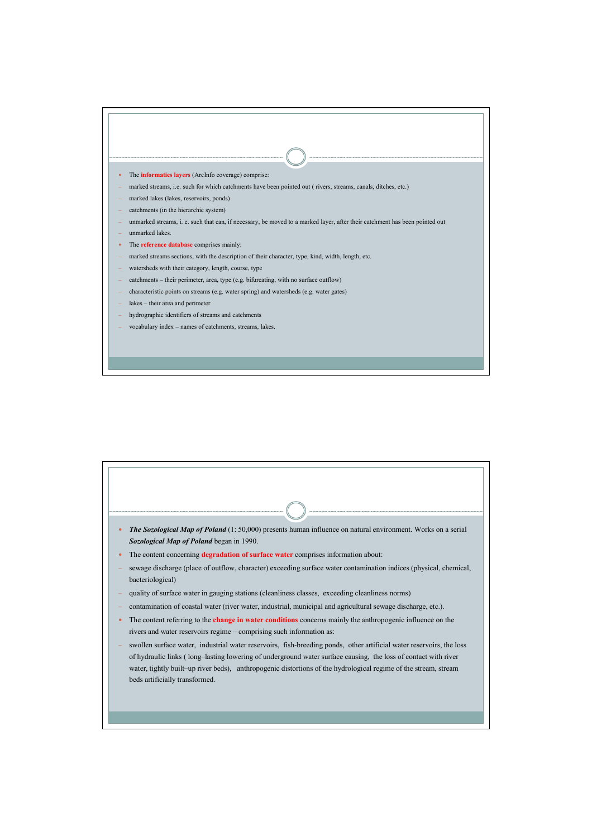

| The Sozological Map of Poland (1:50,000) presents human influence on natural environment. Works on a serial<br>$\bullet$<br>Sozological Map of Poland began in 1990.                                                                                                                                                                                                                        |
|---------------------------------------------------------------------------------------------------------------------------------------------------------------------------------------------------------------------------------------------------------------------------------------------------------------------------------------------------------------------------------------------|
| The content concerning degradation of surface water comprises information about:<br>٠                                                                                                                                                                                                                                                                                                       |
| sewage discharge (place of outflow, character) exceeding surface water contamination indices (physical, chemical,<br>bacteriological)                                                                                                                                                                                                                                                       |
| quality of surface water in gauging stations (cleanliness classes, exceeding cleanliness norms)                                                                                                                                                                                                                                                                                             |
| contamination of coastal water (river water, industrial, municipal and agricultural sewage discharge, etc.).                                                                                                                                                                                                                                                                                |
| The content referring to the <b>change in water conditions</b> concerns mainly the anthropogenic influence on the<br>$\bullet$<br>rivers and water reservoirs regime - comprising such information as:                                                                                                                                                                                      |
| swollen surface water, industrial water reservoirs, fish-breeding ponds, other artificial water reservoirs, the loss<br>of hydraulic links (long-lasting lowering of underground water surface causing, the loss of contact with river<br>water, tightly built–up river beds), anthropogenic distortions of the hydrological regime of the stream, stream<br>beds artificially transformed. |
|                                                                                                                                                                                                                                                                                                                                                                                             |
|                                                                                                                                                                                                                                                                                                                                                                                             |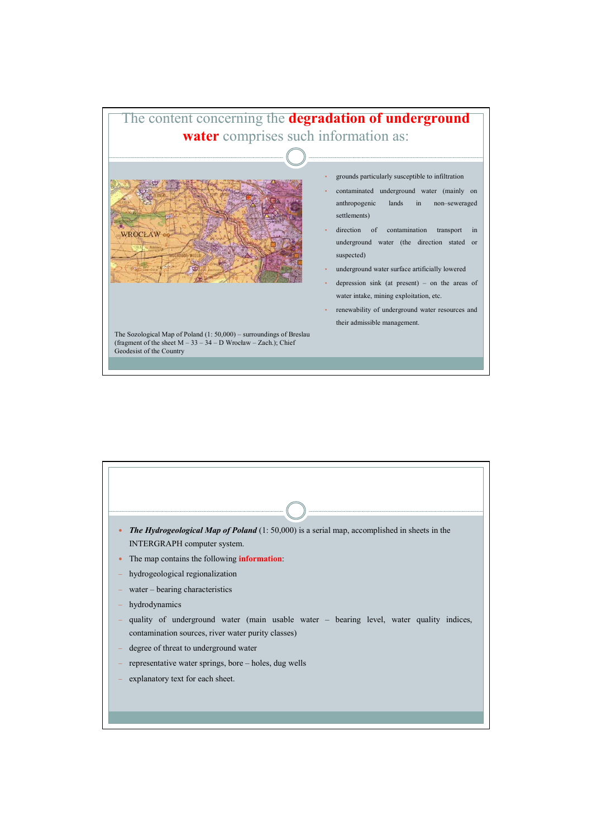

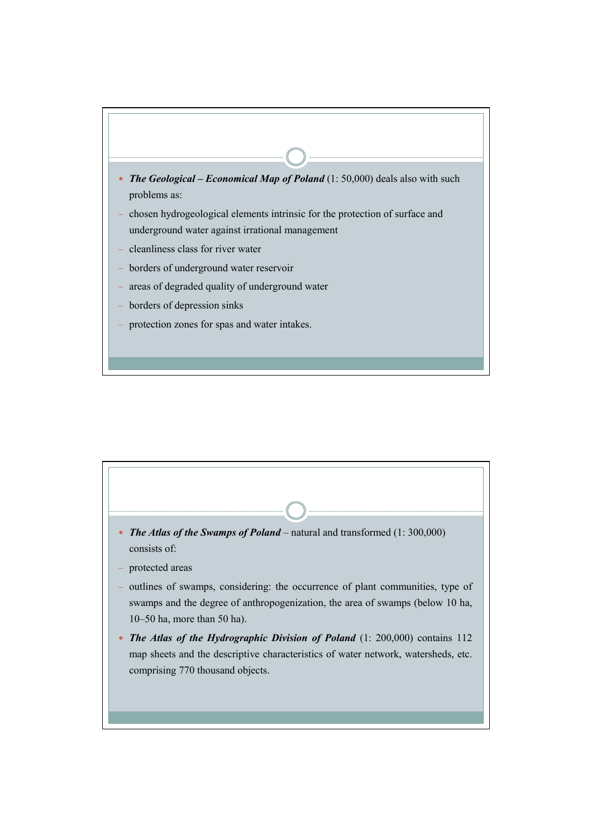